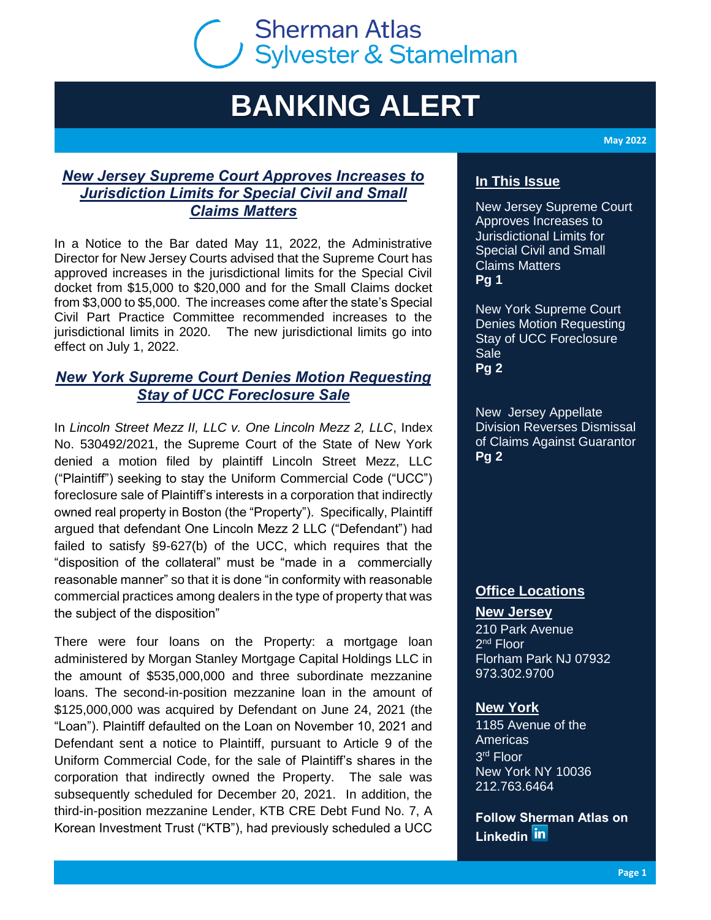# **Sherman Atlas** Sherman Atlas<br>Sylvester & Stamelman

# **BANKING ALERT**

*New Jersey Supreme Court Approves Increases to Jurisdiction Limits for Special Civil and Small Claims Matters*

In a Notice to the Bar dated May 11, 2022, the Administrative Director for New Jersey Courts advised that the Supreme Court has approved increases in the jurisdictional limits for the Special Civil docket from \$15,000 to \$20,000 and for the Small Claims docket from \$3,000 to \$5,000. The increases come after the state's Special Civil Part Practice Committee recommended increases to the jurisdictional limits in 2020. The new jurisdictional limits go into effect on July 1, 2022.

## *New York Supreme Court Denies Motion Requesting Stay of UCC Foreclosure Sale*

In *Lincoln Street Mezz II, LLC v. One Lincoln Mezz 2, LLC*, Index No. 530492/2021, the Supreme Court of the State of New York denied a motion filed by plaintiff Lincoln Street Mezz, LLC ("Plaintiff") seeking to stay the Uniform Commercial Code ("UCC") foreclosure sale of Plaintiff's interests in a corporation that indirectly owned real property in Boston (the "Property"). Specifically, Plaintiff argued that defendant One Lincoln Mezz 2 LLC ("Defendant") had failed to satisfy §9-627(b) of the UCC, which requires that the "disposition of the collateral" must be "made in a commercially reasonable manner" so that it is done "in conformity with reasonable commercial practices among dealers in the type of property that was the subject of the disposition"

There were four loans on the Property: a mortgage loan administered by Morgan Stanley Mortgage Capital Holdings LLC in the amount of \$535,000,000 and three subordinate mezzanine loans. The second-in-position mezzanine loan in the amount of \$125,000,000 was acquired by Defendant on June 24, 2021 (the "Loan"). Plaintiff defaulted on the Loan on November 10, 2021 and Defendant sent a notice to Plaintiff, pursuant to Article 9 of the Uniform Commercial Code, for the sale of Plaintiff's shares in the corporation that indirectly owned the Property. The sale was subsequently scheduled for December 20, 2021. In addition, the third-in-position mezzanine Lender, KTB CRE Debt Fund No. 7, A Korean Investment Trust ("KTB"), had previously scheduled a UCC

**May 2022**

### **In This Issue**

New Jersey Supreme Court Approves Increases to Jurisdictional Limits for Special Civil and Small Claims Matters **Pg 1**

New York Supreme Court Denies Motion Requesting Stay of UCC Foreclosure **Sale Pg 2**

New Jersey Appellate Division Reverses Dismissal of Claims Against Guarantor **Pg 2**

### **Office Locations**

**New Jersey**

210 Park Avenue 2<sup>nd</sup> Floor Florham Park NJ 07932 973.302.9700

#### **New York**

1185 Avenue of the Americas 3 rd Floor New York NY 10036 212.763.6464

**Follow Sherman Atlas on [Linkedin](https://www.linkedin.com/company/sherman-wells-sylvester-&-stamelman-llp)**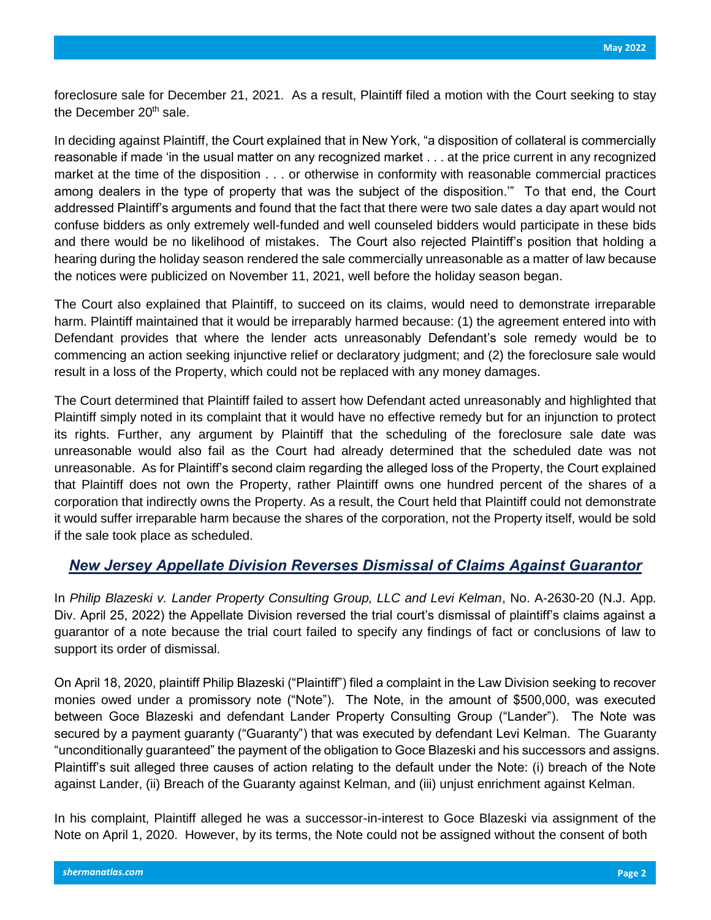foreclosure sale for December 21, 2021. As a result, Plaintiff filed a motion with the Court seeking to stay the December  $20<sup>th</sup>$  sale.

In deciding against Plaintiff, the Court explained that in New York, "a disposition of collateral is commercially reasonable if made 'in the usual matter on any recognized market . . . at the price current in any recognized market at the time of the disposition . . . or otherwise in conformity with reasonable commercial practices among dealers in the type of property that was the subject of the disposition.'" To that end, the Court addressed Plaintiff's arguments and found that the fact that there were two sale dates a day apart would not confuse bidders as only extremely well-funded and well counseled bidders would participate in these bids and there would be no likelihood of mistakes. The Court also rejected Plaintiff's position that holding a hearing during the holiday season rendered the sale commercially unreasonable as a matter of law because the notices were publicized on November 11, 2021, well before the holiday season began.

The Court also explained that Plaintiff, to succeed on its claims, would need to demonstrate irreparable harm. Plaintiff maintained that it would be irreparably harmed because: (1) the agreement entered into with Defendant provides that where the lender acts unreasonably Defendant's sole remedy would be to commencing an action seeking injunctive relief or declaratory judgment; and (2) the foreclosure sale would result in a loss of the Property, which could not be replaced with any money damages.

The Court determined that Plaintiff failed to assert how Defendant acted unreasonably and highlighted that Plaintiff simply noted in its complaint that it would have no effective remedy but for an injunction to protect its rights. Further, any argument by Plaintiff that the scheduling of the foreclosure sale date was unreasonable would also fail as the Court had already determined that the scheduled date was not unreasonable. As for Plaintiff's second claim regarding the alleged loss of the Property, the Court explained that Plaintiff does not own the Property, rather Plaintiff owns one hundred percent of the shares of a corporation that indirectly owns the Property. As a result, the Court held that Plaintiff could not demonstrate it would suffer irreparable harm because the shares of the corporation, not the Property itself, would be sold if the sale took place as scheduled.

#### *New Jersey Appellate Division Reverses Dismissal of Claims Against Guarantor*

In *Philip Blazeski v. Lander Property Consulting Group, LLC and Levi Kelman*, No. A-2630-20 (N.J. App. Div. April 25, 2022) the Appellate Division reversed the trial court's dismissal of plaintiff's claims against a guarantor of a note because the trial court failed to specify any findings of fact or conclusions of law to support its order of dismissal.

On April 18, 2020, plaintiff Philip Blazeski ("Plaintiff") filed a complaint in the Law Division seeking to recover monies owed under a promissory note ("Note"). The Note, in the amount of \$500,000, was executed between Goce Blazeski and defendant Lander Property Consulting Group ("Lander"). The Note was secured by a payment guaranty ("Guaranty") that was executed by defendant Levi Kelman. The Guaranty "unconditionally guaranteed" the payment of the obligation to Goce Blazeski and his successors and assigns. Plaintiff's suit alleged three causes of action relating to the default under the Note: (i) breach of the Note against Lander, (ii) Breach of the Guaranty against Kelman, and (iii) unjust enrichment against Kelman.

In his complaint, Plaintiff alleged he was a successor-in-interest to Goce Blazeski via assignment of the Note on April 1, 2020. However, by its terms, the Note could not be assigned without the consent of both